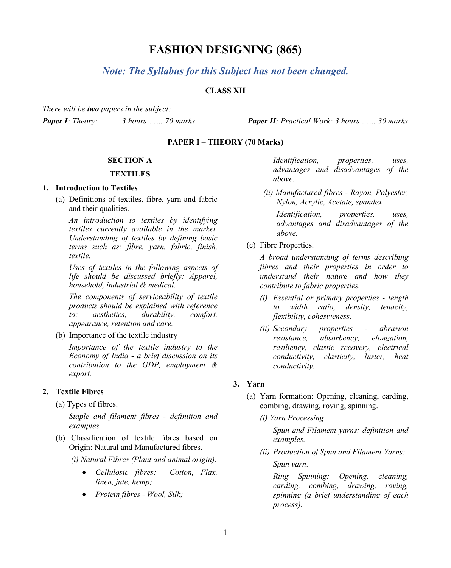# **FASHION DESIGNING (865)**

# *Note: The Syllabus for this Subject has not been changed.*

# **CLASS XII**

*There will be two papers in the subject: Paper I: Theory: 3 hours …… 70 marks Paper II: Practical Work: 3 hours …… 30 marks*

### **PAPER I – THEORY (70 Marks)**

#### **SECTION A**

#### **TEXTILES**

#### **1. Introduction to Textiles**

(a) Definitions of textiles, fibre, yarn and fabric and their qualities.

*An introduction to textiles by identifying textiles currently available in the market. Understanding of textiles by defining basic terms such as: fibre, yarn, fabric, finish, textile.* 

*Uses of textiles in the following aspects of life should be discussed briefly: Apparel, household, industrial & medical.*

*The components of serviceability of textile products should be explained with reference to: aesthetics, durability, comfort, appearance, retention and care.*

(b) Importance of the textile industry

*Importance of the textile industry to the Economy of India - a brief discussion on its contribution to the GDP, employment & export.* 

# **2. Textile Fibres**

(a) Types of fibres.

*Staple and filament fibres - definition and examples.*

(b) Classification of textile fibres based on Origin: Natural and Manufactured fibres.

*(i) Natural Fibres (Plant and animal origin).* 

- *Cellulosic fibres: Cotton, Flax, linen, jute, hemp;*
- *Protein fibres - Wool, Silk;*

*Identification, properties, uses, advantages and disadvantages of the above.*

*(ii) Manufactured fibres - Rayon, Polyester, Nylon, Acrylic, Acetate, spandex.*

*Identification, properties, uses, advantages and disadvantages of the above.* 

(c) Fibre Properties.

*A broad understanding of terms describing fibres and their properties in order to understand their nature and how they contribute to fabric properties.* 

- *(i) Essential or primary properties - length to width ratio, density, tenacity, flexibility, cohesiveness.*
- *(ii) Secondary properties - abrasion resistance, absorbency, elongation, resiliency, elastic recovery, electrical conductivity, elasticity, luster, heat conductivity.*

# **3. Yarn**

- (a) Yarn formation: Opening, cleaning, carding, combing, drawing, roving, spinning.
	- *(i) Yarn Processing*

*Spun and Filament yarns: definition and examples.*

*(ii) Production of Spun and Filament Yarns: Spun yarn:*

*Ring Spinning: Opening, cleaning, carding, combing, drawing, roving, spinning (a brief understanding of each process).*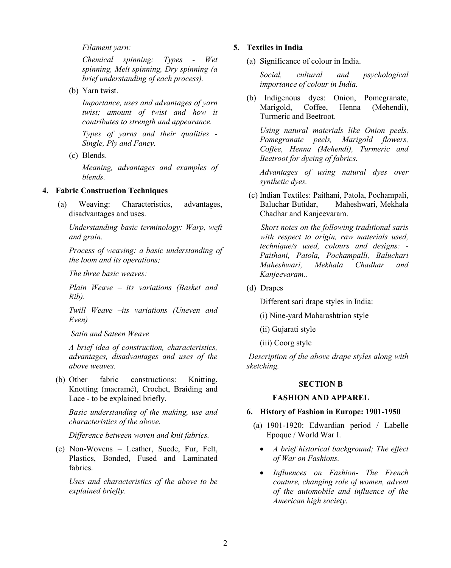*Filament yarn:*

*Chemical spinning: Types - Wet spinning, Melt spinning, Dry spinning (a brief understanding of each process).*

(b) Yarn twist.

*Importance, uses and advantages of yarn twist; amount of twist and how it contributes to strength and appearance.* 

*Types of yarns and their qualities - Single, Ply and Fancy.*

(c) Blends.

*Meaning, advantages and examples of blends.*

#### **4. Fabric Construction Techniques**

(a) Weaving: Characteristics, advantages, disadvantages and uses.

*Understanding basic terminology: Warp, weft and grain.*

*Process of weaving: a basic understanding of the loom and its operations;* 

*The three basic weaves:* 

*Plain Weave – its variations (Basket and Rib).* 

*Twill Weave –its variations (Uneven and Even)*

*Satin and Sateen Weave*

*A brief idea of construction, characteristics, advantages, disadvantages and uses of the above weaves.*

(b) Other fabric constructions: Knitting, Knotting (macramé), Crochet, Braiding and Lace - to be explained briefly.

*Basic understanding of the making, use and characteristics of the above.*

*Difference between woven and knit fabrics.*

(c) Non-Wovens – Leather, Suede, Fur, Felt, Plastics, Bonded, Fused and Laminated fabrics.

*Uses and characteristics of the above to be explained briefly.*

#### **5. Textiles in India**

(a) Significance of colour in India.

*Social, cultural and psychological importance of colour in India.*

(b) Indigenous dyes: Onion, Pomegranate, Henna (Mehendi), Turmeric and Beetroot.

*Using natural materials like Onion peels, Pomegranate peels, Marigold flowers, Coffee, Henna (Mehendi), Turmeric and Beetroot for dyeing of fabrics.* 

*Advantages of using natural dyes over synthetic dyes.*

(c) Indian Textiles: Paithani, Patola, Pochampali, Baluchar Butidar, Maheshwari, Mekhala Chadhar and Kanjeevaram.

 *Short notes on the following traditional saris with respect to origin, raw materials used, technique/s used, colours and designs: - Paithani, Patola, Pochampalli, Baluchari Maheshwari, Mekhala Chadhar and Kanjeevaram..*

(d) Drapes

Different sari drape styles in India:

- (i) Nine-yard Maharashtrian style
- (ii) Gujarati style
- (iii) Coorg style

*Description of the above drape styles along with sketching.*

#### **SECTION B**

# **FASHION AND APPAREL**

#### **6. History of Fashion in Europe: 1901-1950**

- (a) 1901-1920: Edwardian period / Labelle Epoque / World War I.
	- *A brief historical background; The effect of War on Fashions.*
	- *Influences on Fashion- The French couture, changing role of women, advent of the automobile and influence of the American high society.*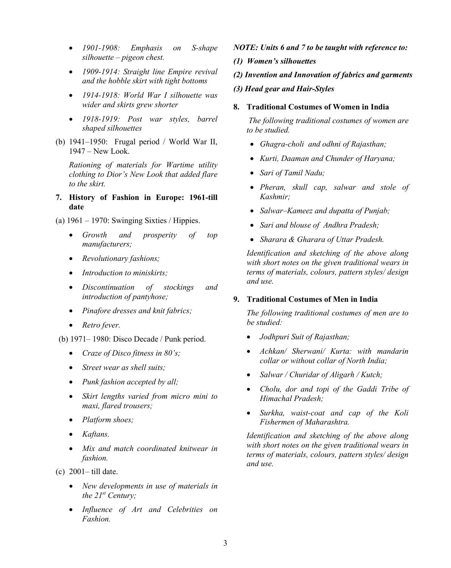- *1901-1908: Emphasis on S-shape silhouette – pigeon chest.*
- *1909-1914: Straight line Empire revival and the hobble skirt with tight bottoms*
- *1914-1918: World War I silhouette was wider and skirts grew shorter*
- *1918-1919: Post war styles, barrel shaped silhouettes*
- (b) 1941–1950: Frugal period / World War II, 1947 – New Look.

*Rationing of materials for Wartime utility clothing to Dior's New Look that added flare to the skirt.*

**7. History of Fashion in Europe: 1961-till date**

(a)  $1961 - 1970$ : Swinging Sixties / Hippies.

- *Growth and prosperity of top manufacturers;*
- *Revolutionary fashions;*
- *Introduction to miniskirts;*
- *Discontinuation of stockings and introduction of pantyhose;*
- *Pinafore dresses and knit fabrics;*
- *Retro fever.*
- (b) 1971– 1980: Disco Decade / Punk period.
	- *Craze of Disco fitness in 80's;*
	- *Street wear as shell suits;*
	- *Punk fashion accepted by all;*
	- *Skirt lengths varied from micro mini to maxi, flared trousers;*
	- *Platform shoes;*
	- *Kaftans.*
	- *Mix and match coordinated knitwear in fashion.*
- (c) 2001– till date.
	- *New developments in use of materials in the 21st Century;*
	- *Influence of Art and Celebrities on Fashion.*
- *NOTE: Units 6 and 7 to be taught with reference to:*
- *(1) Women's silhouettes*
- *(2) Invention and Innovation of fabrics and garments*
- *(3) Head gear and Hair-Styles*
- **8. Traditional Costumes of Women in India**

*The following traditional costumes of women are to be studied.*

- *Ghagra-choli and odhni of Rajasthan;*
- *Kurti, Daaman and Chunder of Haryana;*
- *Sari of Tamil Nadu;*
- *Pheran, skull cap, salwar and stole of Kashmir;*
- *Salwar–Kameez and dupatta of Punjab;*
- *Sari and blouse of Andhra Pradesh;*
- *Sharara & Gharara of Uttar Pradesh.*

*Identification and sketching of the above along with short notes on the given traditional wears in terms of materials, colours, pattern styles/ design and use.*

## **9. Traditional Costumes of Men in India**

*The following traditional costumes of men are to be studied:*

- *Jodhpuri Suit of Rajasthan;*
- *Achkan/ Sherwani/ Kurta: with mandarin collar or without collar of North India;*
- *Salwar / Churidar of Aligarh / Kutch;*
- *Cholu, dor and topi of the Gaddi Tribe of Himachal Pradesh;*
- *Surkha, waist-coat and cap of the Koli Fishermen of Maharashtra.*

*Identification and sketching of the above along with short notes on the given traditional wears in terms of materials, colours, pattern styles/ design and use.*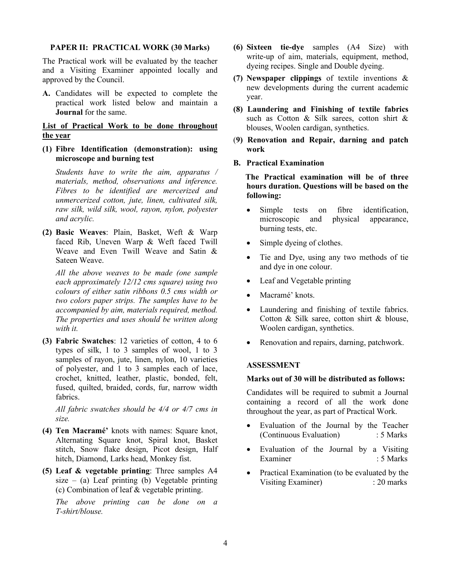# **PAPER II: PRACTICAL WORK (30 Marks)**

The Practical work will be evaluated by the teacher and a Visiting Examiner appointed locally and approved by the Council.

**A.** Candidates will be expected to complete the practical work listed below and maintain a **Journal** for the same.

**List of Practical Work to be done throughout the year**

**(1) Fibre Identification (demonstration): using microscope and burning test**

*Students have to write the aim, apparatus / materials, method, observations and inference. Fibres to be identified are mercerized and unmercerized cotton, jute, linen, cultivated silk, raw silk, wild silk, wool, rayon, nylon, polyester and acrylic.*

**(2) Basic Weaves**: Plain, Basket, Weft & Warp faced Rib, Uneven Warp & Weft faced Twill Weave and Even Twill Weave and Satin & Sateen Weave.

*All the above weaves to be made (one sample each approximately 12/12 cms square) using two colours of either satin ribbons 0.5 cms width or two colors paper strips. The samples have to be accompanied by aim, materials required, method. The properties and uses should be written along with it.*

**(3) Fabric Swatches**: 12 varieties of cotton, 4 to 6 types of silk, 1 to 3 samples of wool, 1 to 3 samples of rayon, jute, linen, nylon, 10 varieties of polyester, and 1 to 3 samples each of lace, crochet, knitted, leather, plastic, bonded, felt, fused, quilted, braided, cords, fur, narrow width fabrics.

*All fabric swatches should be 4/4 or 4/7 cms in size.*

- **(4) Ten Macramé'** knots with names: Square knot, Alternating Square knot, Spiral knot, Basket stitch, Snow flake design, Picot design, Half hitch, Diamond, Larks head, Monkey fist.
- **(5) Leaf & vegetable printing**: Three samples A4 size – (a) Leaf printing (b) Vegetable printing (c) Combination of leaf & vegetable printing.

*The above printing can be done on a T-shirt/blouse.*

- **(6) Sixteen tie-dye** samples (A4 Size) with write-up of aim, materials, equipment, method, dyeing recipes. Single and Double dyeing.
- **(7) Newspaper clippings** of textile inventions & new developments during the current academic year.
- **(8) Laundering and Finishing of textile fabrics** such as Cotton & Silk sarees, cotton shirt & blouses, Woolen cardigan, synthetics.
- (**9) Renovation and Repair, darning and patch work**
- **B. Practical Examination**

 **The Practical examination will be of three hours duration. Questions will be based on the following:**

- Simple tests on fibre identification, microscopic and physical appearance, burning tests, etc.
- Simple dyeing of clothes.
- Tie and Dye, using any two methods of tie and dye in one colour.
- Leaf and Vegetable printing
- Macramé' knots.
- Laundering and finishing of textile fabrics. Cotton & Silk saree, cotton shirt & blouse, Woolen cardigan, synthetics.
- Renovation and repairs, darning, patchwork.

# **ASSESSMENT**

#### **Marks out of 30 will be distributed as follows:**

Candidates will be required to submit a Journal containing a record of all the work done throughout the year, as part of Practical Work.

- Evaluation of the Journal by the Teacher (Continuous Evaluation) : 5 Marks
- Evaluation of the Journal by a Visiting Examiner : 5 Marks
- Practical Examination (to be evaluated by the Visiting Examiner) : 20 marks